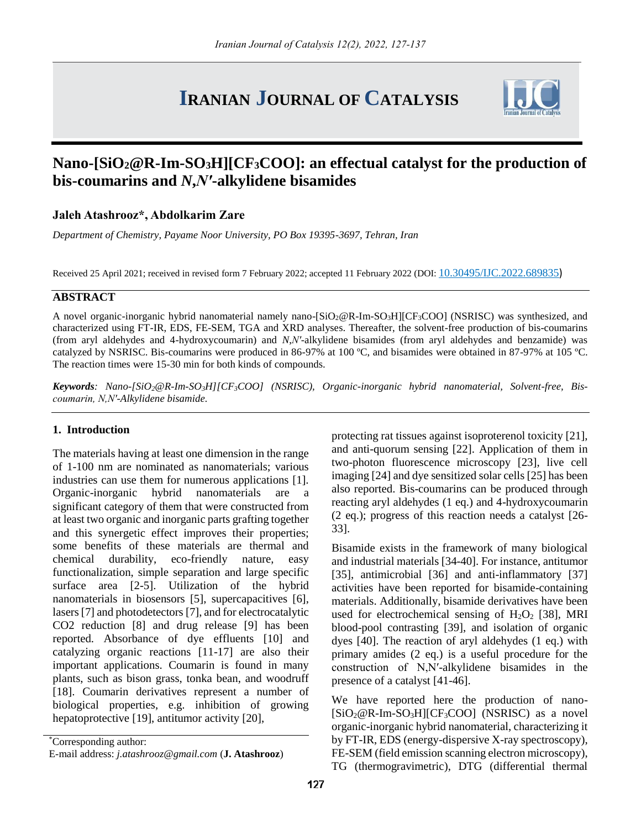# **IRANIAN JOURNAL OF CATALYSIS**



## **Nano-[SiO2@R-Im-SO3H][CF3COO]: an effectual catalyst for the production of bis-coumarins and** *N***,***N′***-alkylidene bisamides**

### **Jaleh Atashrooz\*, Abdolkarim Zare**

*Department of Chemistry, Payame Noor University, PO Box 19395-3697, Tehran, Iran*

Received 25 April 2021; received in revised form 7 February 2022; accepted 11 February 2022 (DOI: [10.30495/IJC.2022.689835](https://dx.doi.org/10.30495/ijc.2022.689835))

#### **ABSTRACT**

A novel organic-inorganic hybrid nanomaterial namely nano-[SiO<sub>2</sub>@R-Im-SO<sub>3</sub>H][CF<sub>3</sub>COO] (NSRISC) was synthesized, and characterized using FT-IR, EDS, FE-SEM, TGA and XRD analyses. Thereafter, the solvent-free production of bis-coumarins (from aryl aldehydes and 4-hydroxycoumarin) and *N*,*N′*-alkylidene bisamides (from aryl aldehydes and benzamide) was catalyzed by NSRISC. Bis-coumarins were produced in 86-97% at 100 ºC, and bisamides were obtained in 87-97% at 105 ºC. The reaction times were 15-30 min for both kinds of compounds.

*Keywords: Nano-[SiO2@R-Im-SO3H][CF3COO] (NSRISC), Organic-inorganic hybrid nanomaterial, Solvent-free, Biscoumarin, N,N′-Alkylidene bisamide.*

#### **1. Introduction**

The materials having at least one dimension in the range of 1-100 nm are nominated as nanomaterials; various industries can use them for numerous applications [1]. Organic-inorganic hybrid nanomaterials are a significant category of them that were constructed from at least two organic and inorganic parts grafting together and this synergetic effect improves their properties; some benefits of these materials are thermal and chemical durability, eco-friendly nature, easy functionalization, simple separation and large specific surface area [2-5]. Utilization of the hybrid nanomaterials in biosensors [5], supercapacitives [6], lasers [7] and photodetectors [7], and for electrocatalytic CO2 reduction [8] and drug release [9] has been reported. Absorbance of dye effluents [10] and catalyzing organic reactions [11-17] are also their important applications. Coumarin is found in many plants, such as bison grass, tonka bean, and woodruff [18]. Coumarin derivatives represent a number of biological properties, e.g. inhibition of growing hepatoprotective [19], antitumor activity [20],

\*Corresponding author:

protecting rat tissues against isoproterenol toxicity [21], and anti-quorum sensing [22]. Application of them in two-photon fluorescence microscopy [23], live cell imaging [24] and dye sensitized solar cells [25] has been also reported. Bis-coumarins can be produced through reacting aryl aldehydes (1 eq.) and 4-hydroxycoumarin (2 eq.); progress of this reaction needs a catalyst [26- 33].

Bisamide exists in the framework of many biological and industrial materials [34-40]. For instance, antitumor [35], antimicrobial [36] and anti-inflammatory [37] activities have been reported for bisamide-containing materials. Additionally, bisamide derivatives have been used for electrochemical sensing of  $H_2O_2$  [38], MRI blood-pool contrasting [39], and isolation of organic dyes [40]. The reaction of aryl aldehydes (1 eq.) with primary amides (2 eq.) is a useful procedure for the construction of N,N′-alkylidene bisamides in the presence of a catalyst [41-46].

We have reported here the production of nano-  $[SiO_2@R$ -Im-SO<sub>3</sub>H][CF<sub>3</sub>COO] (NSRISC) as a novel organic-inorganic hybrid nanomaterial, characterizing it by FT-IR, EDS (energy-dispersive X-ray spectroscopy), FE-SEM (field emission scanning electron microscopy), TG (thermogravimetric), DTG (differential thermal

E-mail address: *j.atashrooz@gmail.com* (**J. Atashrooz**)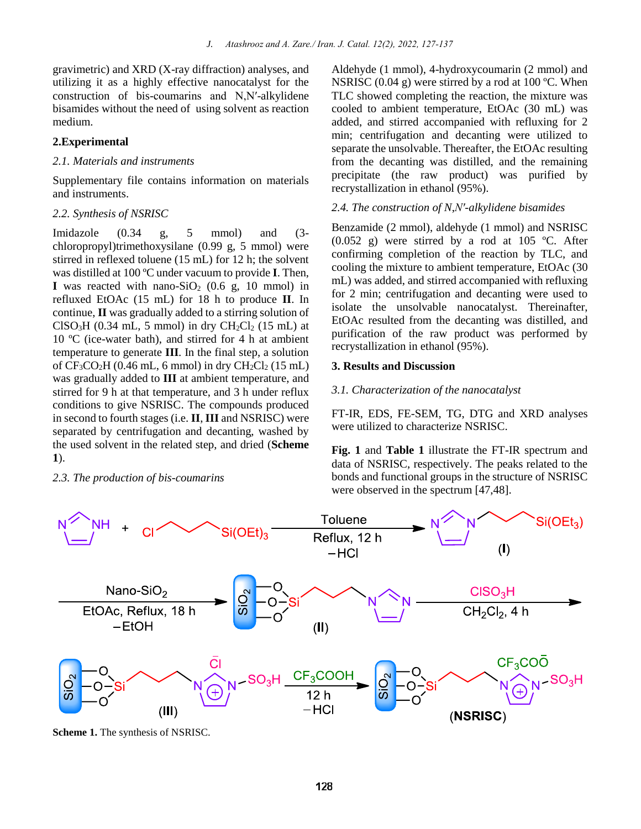gravimetric) and XRD (X-ray diffraction) analyses, and utilizing it as a highly effective nanocatalyst for the construction of bis-coumarins and N,N′-alkylidene bisamides without the need of using solvent as reaction medium.

#### **2.Experimental**

#### *2.1. Materials and instruments*

Supplementary file contains information on materials and instruments.

#### *2.2. Synthesis of NSRISC*

Imidazole (0.34 g, 5 mmol) and (3 chloropropyl)trimethoxysilane (0.99 g, 5 mmol) were stirred in reflexed toluene (15 mL) for 12 h; the solvent was distilled at 100 ºC under vacuum to provide **I**. Then, **I** was reacted with nano-SiO<sub>2</sub> (0.6 g, 10 mmol) in refluxed EtOAc (15 mL) for 18 h to produce **II**. In continue, **II** was gradually added to a stirring solution of  $CISO<sub>3</sub>H$  (0.34 mL, 5 mmol) in dry  $CH<sub>2</sub>Cl<sub>2</sub>$  (15 mL) at 10 ºC (ice-water bath), and stirred for 4 h at ambient temperature to generate **III**. In the final step, a solution of  $CF<sub>3</sub>CO<sub>2</sub>H$  (0.46 mL, 6 mmol) in dry  $CH<sub>2</sub>Cl<sub>2</sub>$  (15 mL) was gradually added to **III** at ambient temperature, and stirred for 9 h at that temperature, and 3 h under reflux conditions to give NSRISC. The compounds produced in second to fourth stages (i.e. **II**, **III** and NSRISC) were separated by centrifugation and decanting, washed by the used solvent in the related step, and dried (**Scheme 1**).

#### *2.3. The production of bis-coumarins*

Aldehyde (1 mmol), 4-hydroxycoumarin (2 mmol) and NSRISC  $(0.04 \text{ g})$  were stirred by a rod at 100 °C. When TLC showed completing the reaction, the mixture was cooled to ambient temperature, EtOAc (30 mL) was added, and stirred accompanied with refluxing for 2 min; centrifugation and decanting were utilized to separate the unsolvable. Thereafter, the EtOAc resulting from the decanting was distilled, and the remaining precipitate (the raw product) was purified by recrystallization in ethanol (95%).

#### *2.4. The construction of N*,*N′-alkylidene bisamides*

Benzamide (2 mmol), aldehyde (1 mmol) and NSRISC (0.052 g) were stirred by a rod at 105 ºC. After confirming completion of the reaction by TLC, and cooling the mixture to ambient temperature, EtOAc (30 mL) was added, and stirred accompanied with refluxing for 2 min; centrifugation and decanting were used to isolate the unsolvable nanocatalyst. Thereinafter, EtOAc resulted from the decanting was distilled, and purification of the raw product was performed by recrystallization in ethanol (95%).

#### **3. Results and Discussion**

#### *3.1. Characterization of the nanocatalyst*

FT-IR, EDS, FE-SEM, TG, DTG and XRD analyses were utilized to characterize NSRISC.

**Fig. 1** and **Table 1** illustrate the FT-IR spectrum and data of NSRISC, respectively. The peaks related to the bonds and functional groups in the structure of NSRISC were observed in the spectrum [47,48].



**Scheme 1.** The synthesis of NSRISC.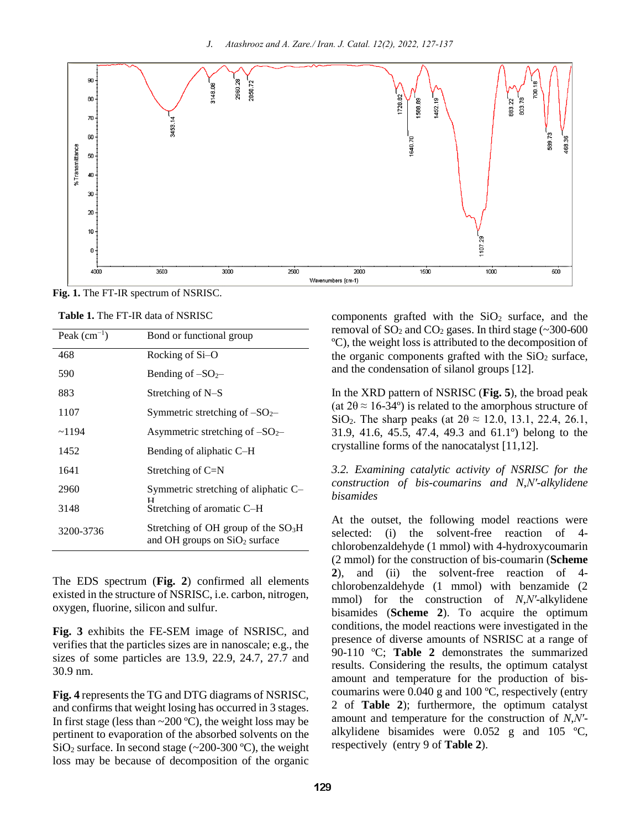

**Fig. 1.** The FT-IR spectrum of NSRISC.

**Table 1.** The FT-IR data of NSRISC

| Peak $(cm^{-1})$ | Bond or functional group                                                |
|------------------|-------------------------------------------------------------------------|
| 468              | Rocking of Si-O                                                         |
| 590              | Bending of $-SO2$                                                       |
| 883              | Stretching of N-S                                                       |
| 1107             | Symmetric stretching of $-SO2$                                          |
| ~1194            | Asymmetric stretching of $-SO2$                                         |
| 1452             | Bending of aliphatic C-H                                                |
| 1641             | Stretching of $C=N$                                                     |
| 2960             | Symmetric stretching of aliphatic C-                                    |
| 3148             | ТТ<br>Stretching of aromatic C-H                                        |
| 3200-3736        | Stretching of OH group of the $SO3H$<br>and OH groups on $SiO2$ surface |

The EDS spectrum (**Fig. 2**) confirmed all elements existed in the structure of NSRISC, i.e. carbon, nitrogen, oxygen, fluorine, silicon and sulfur.

**Fig. 3** exhibits the FE-SEM image of NSRISC, and verifies that the particles sizes are in nanoscale; e.g., the sizes of some particles are 13.9, 22.9, 24.7, 27.7 and 30.9 nm.

**Fig. 4** represents the TG and DTG diagrams of NSRISC, and confirms that weight losing has occurred in 3 stages. In first stage (less than  $\sim$  200 °C), the weight loss may be pertinent to evaporation of the absorbed solvents on the SiO<sub>2</sub> surface. In second stage ( $\sim$ 200-300 °C), the weight loss may be because of decomposition of the organic components grafted with the  $SiO<sub>2</sub>$  surface, and the removal of  $SO_2$  and  $CO_2$  gases. In third stage (~300-600) ºC), the weight loss is attributed to the decomposition of the organic components grafted with the  $SiO<sub>2</sub>$  surface, and the condensation of silanol groups [12].

In the XRD pattern of NSRISC (**Fig. 5**), the broad peak (at  $2\theta \approx 16-34^{\circ}$ ) is related to the amorphous structure of SiO<sub>2</sub>. The sharp peaks (at  $2\theta \approx 12.0, 13.1, 22.4, 26.1$ , 31.9, 41.6, 45.5, 47.4, 49.3 and 61.1º) belong to the crystalline forms of the nanocatalyst [11,12].

*3.2. Examining catalytic activity of NSRISC for the construction of bis-coumarins and N*,*N′-alkylidene bisamides* 

At the outset, the following model reactions were selected: (i) the solvent-free reaction of 4 chlorobenzaldehyde (1 mmol) with 4-hydroxycoumarin (2 mmol) for the construction of bis-coumarin (**Scheme 2**), and (ii) the solvent-free reaction of 4 chlorobenzaldehyde (1 mmol) with benzamide (2 mmol) for the construction of *N*,*N′*-alkylidene bisamides (**Scheme 2**). To acquire the optimum conditions, the model reactions were investigated in the presence of diverse amounts of NSRISC at a range of 90-110 ºC; **Table 2** demonstrates the summarized results. Considering the results, the optimum catalyst amount and temperature for the production of biscoumarins were 0.040 g and 100 ºC, respectively (entry 2 of **Table 2**); furthermore, the optimum catalyst amount and temperature for the construction of *N*,*N′* alkylidene bisamides were 0.052 g and 105 ºC, respectively (entry 9 of **Table 2**).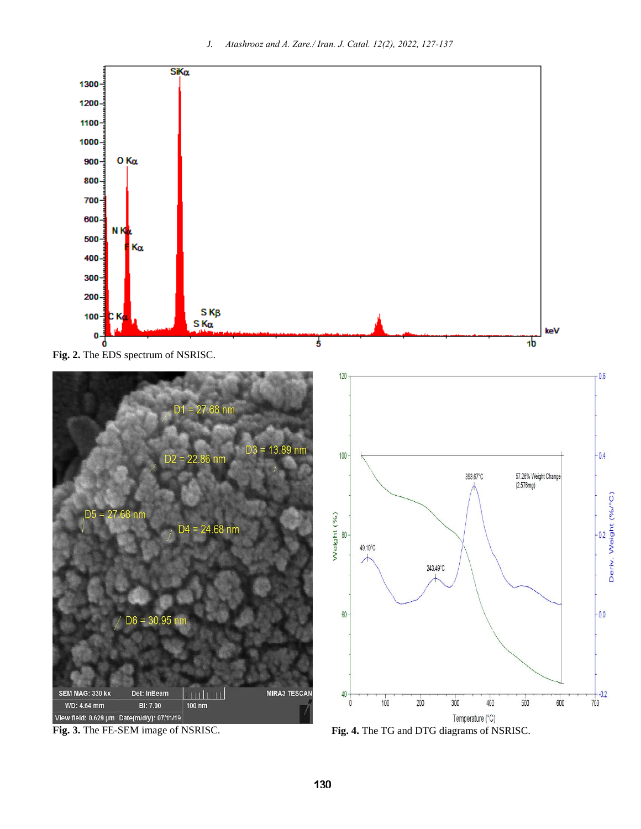



**Fig. 3.** The FE-SEM image of NSRISC. **Fig. 4.** The TG and DTG diagrams of NSRISC.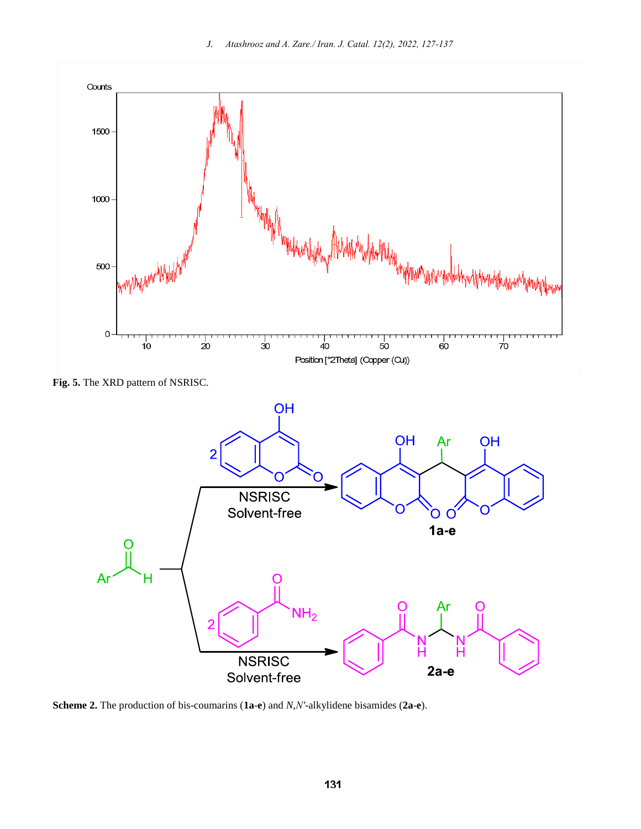

**Fig. 5.** The XRD pattern of NSRISC.



**Scheme 2.** The production of bis-coumarins (**1a**-**e**) and *N*,*N′*-alkylidene bisamides (**2a**-**e**).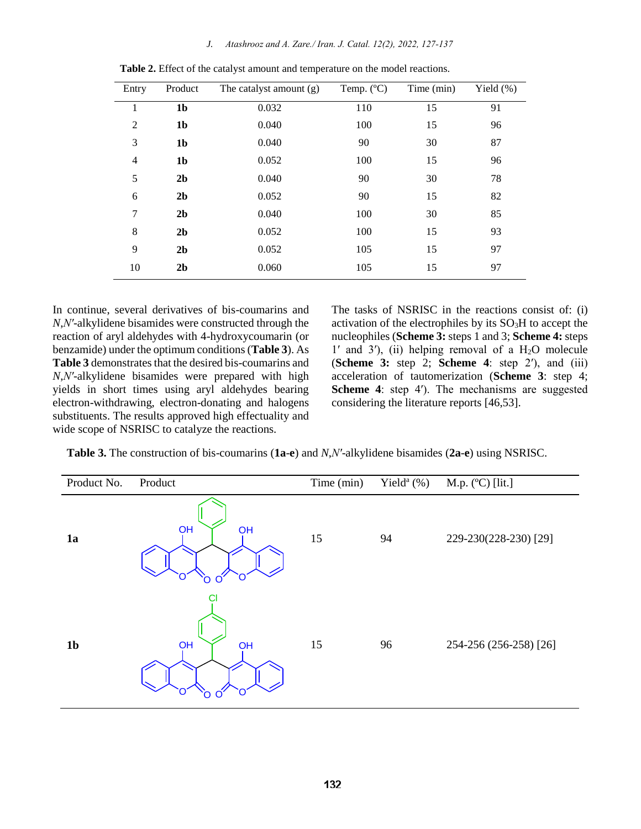*J. Atashrooz and A. Zare./ Iran. J. Catal. 12(2), 2022, 127-137*

| Entry          | Product        | The catalyst amount (g) | Temp. $(^{\circ}C)$ | Time (min) | Yield $(\%)$ |
|----------------|----------------|-------------------------|---------------------|------------|--------------|
| 1              | 1 <sub>b</sub> | 0.032                   | 110                 | 15         | 91           |
| $\overline{2}$ | 1 <sub>b</sub> | 0.040                   | 100                 | 15         | 96           |
| 3              | 1 <sub>b</sub> | 0.040                   | 90                  | 30         | 87           |
| $\overline{4}$ | 1 <sub>b</sub> | 0.052                   | 100                 | 15         | 96           |
| 5              | 2 <sub>b</sub> | 0.040                   | 90                  | 30         | 78           |
| 6              | 2 <sub>b</sub> | 0.052                   | 90                  | 15         | 82           |
| 7              | 2 <sub>b</sub> | 0.040                   | 100                 | 30         | 85           |
| 8              | 2 <sub>b</sub> | 0.052                   | 100                 | 15         | 93           |
| 9              | 2 <sub>b</sub> | 0.052                   | 105                 | 15         | 97           |
| 10             | 2 <sub>b</sub> | 0.060                   | 105                 | 15         | 97           |

**Table 2.** Effect of the catalyst amount and temperature on the model reactions.

In continue, several derivatives of bis-coumarins and *N*,*N′*-alkylidene bisamides were constructed through the reaction of aryl aldehydes with 4-hydroxycoumarin (or benzamide) under the optimum conditions (**Table 3**). As **Table 3** demonstrates that the desired bis-coumarins and *N*,*N′*-alkylidene bisamides were prepared with high yields in short times using aryl aldehydes bearing electron-withdrawing, electron-donating and halogens substituents. The results approved high effectuality and wide scope of NSRISC to catalyze the reactions.

The tasks of NSRISC in the reactions consist of: (i) activation of the electrophiles by its  $SO<sub>3</sub>H$  to accept the nucleophiles (**Scheme 3:** steps 1 and 3; **Scheme 4:** steps  $1'$  and  $3'$ ), (ii) helping removal of a H<sub>2</sub>O molecule (**Scheme 3:** step 2; **Scheme 4**: step 2ʹ), and (iii) acceleration of tautomerization (**Scheme 3**: step 4; **Scheme 4**: step 4<sup>'</sup>). The mechanisms are suggested considering the literature reports [46,53].

**Table 3.** The construction of bis-coumarins (**1a**-**e**) and *N*,*N′*-alkylidene bisamides (**2a**-**e**) using NSRISC.

| Product No.    | Product                       | Time (min) | Yield <sup>a</sup> $(\%)$ | M.p. $(C)$ [lit.]      |
|----------------|-------------------------------|------------|---------------------------|------------------------|
| 1a             | OH<br>OH<br>$\mathbf{\Omega}$ | 15         | 94                        | 229-230(228-230) [29]  |
| 1 <sub>b</sub> | C1<br>OH<br>OH                | 15         | 96                        | 254-256 (256-258) [26] |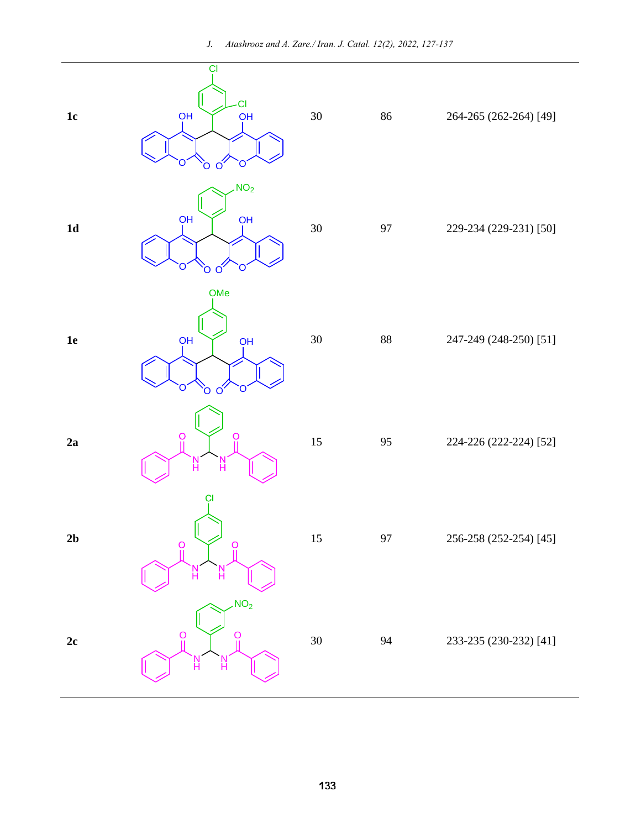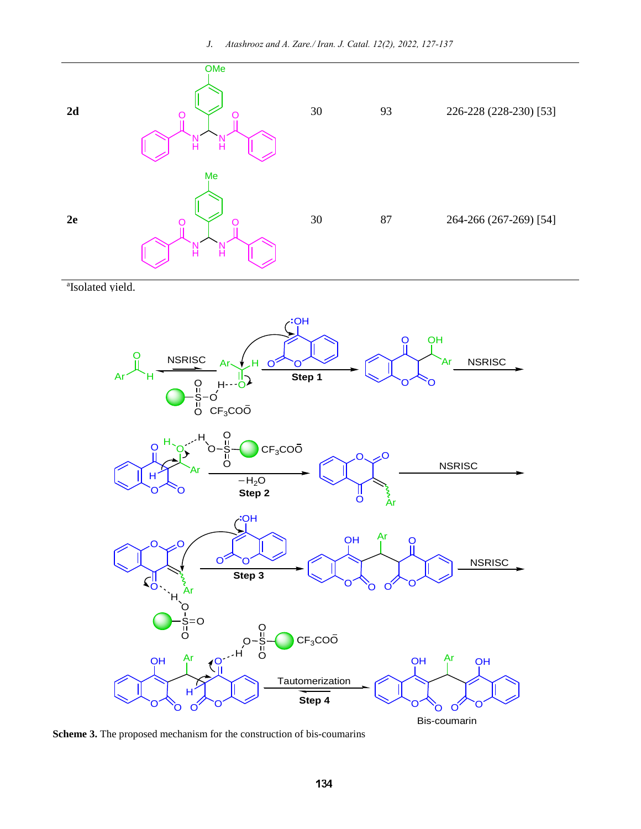

a Isolated yield.



**Scheme 3.** The proposed mechanism for the construction of bis-coumarins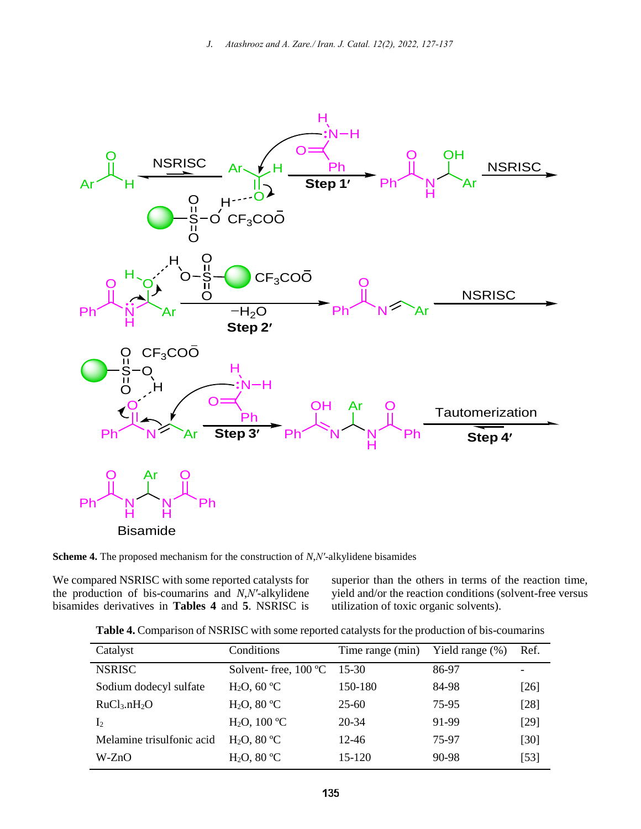

**Scheme 4.** The proposed mechanism for the construction of *N*,*N′*-alkylidene bisamides

We compared NSRISC with some reported catalysts for the production of bis-coumarins and *N*,*N′-*alkylidene bisamides derivatives in **Tables 4** and **5**. NSRISC is superior than the others in terms of the reaction time, yield and/or the reaction conditions (solvent-free versus utilization of toxic organic solvents).

| Catalyst                             | Conditions                    | Time range (min) | Yield range $(\%)$ | Ref. |
|--------------------------------------|-------------------------------|------------------|--------------------|------|
| <b>NSRISC</b>                        | Solvent-free, $100^{\circ}$ C | $15-30$          | 86-97              |      |
| Sodium dodecyl sulfate               | $H_2O$ , 60 °C                | 150-180          | 84-98              | [26] |
| RuCl <sub>3</sub> .nH <sub>2</sub> O | $H_2O$ , 80 °C                | $25 - 60$        | 75-95              | [28] |
| $\mathbf{I}_2$                       | $H_2O$ , 100 °C               | 20-34            | 91-99              | [29] |
| Melamine trisulfonic acid            | $H_2O$ , 80 °C                | 12-46            | 75-97              | [30] |
| W-ZnO                                | $H_2O$ , 80 °C                | $15 - 120$       | 90-98              | [53] |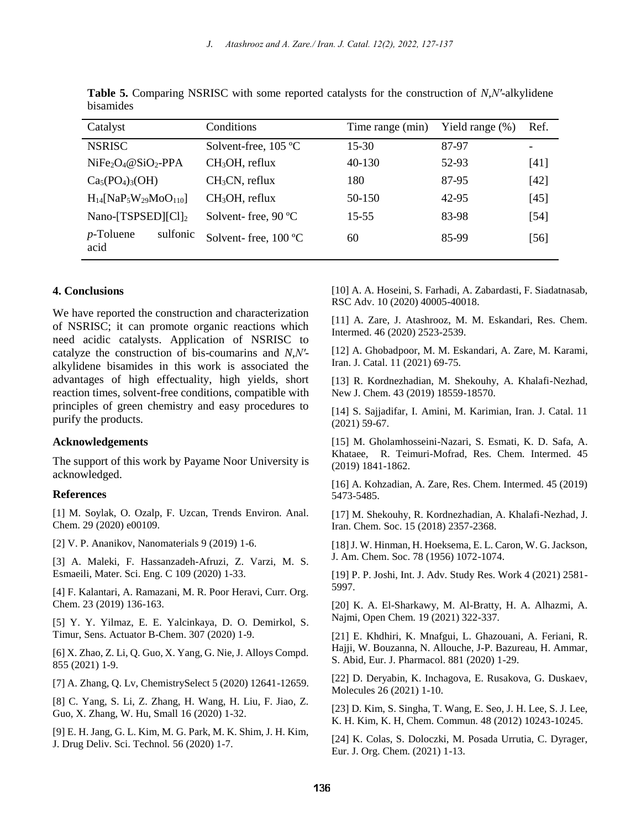*J. Atashrooz and A. Zare./ Iran. J. Catal. 12(2), 2022, 127-137*

| Catalyst                                                        | Conditions                     | Time range (min) | Yield range $(\%)$ | Ref.   |
|-----------------------------------------------------------------|--------------------------------|------------------|--------------------|--------|
| <b>NSRISC</b>                                                   | Solvent-free, $105^{\circ}C$   | $15 - 30$        | 87-97              |        |
| $NiFe2O4@SiO2-PPA$                                              | $CH3OH$ , reflux               | 40-130           | 52-93              | [41]   |
| $Ca5(PO4)3(OH)$                                                 | $CH3CN$ , reflux               | 180              | 87-95              | $[42]$ |
| $H_{14}$ [NaP <sub>5</sub> W <sub>29</sub> MoO <sub>110</sub> ] | $CH3OH$ , reflux               | 50-150           | 42-95              | $[45]$ |
| Nano- $[TSPSED   [Cl]_2]$                                       | Solvent-free, $90^{\circ}$ C   | 15-55            | 83-98              | [54]   |
| sulfonic<br>$p$ -Toluene<br>acid                                | Solvent-free, $100 \text{ °C}$ | 60               | 85-99              | [56]   |

**Table 5.** Comparing NSRISC with some reported catalysts for the construction of *N*,*N′*-alkylidene bisamides

#### **4. Conclusions**

We have reported the construction and characterization of NSRISC; it can promote organic reactions which need acidic catalysts. Application of NSRISC to catalyze the construction of bis-coumarins and *N*,*N′* alkylidene bisamides in this work is associated the advantages of high effectuality, high yields, short reaction times, solvent-free conditions, compatible with principles of green chemistry and easy procedures to purify the products.

#### **Acknowledgements**

The support of this work by Payame Noor University is acknowledged.

#### **References**

[1] M. Soylak, O. Ozalp, F. Uzcan, Trends Environ. Anal. Chem. 29 (2020) e00109.

[2] V. P. Ananikov, Nanomaterials 9 (2019) 1-6.

[3] A. Maleki, F. Hassanzadeh-Afruzi, Z. Varzi, M. S. Esmaeili, Mater. Sci. Eng. C 109 (2020) 1-33.

[4] F. Kalantari, A. Ramazani, M. R. Poor Heravi, Curr. Org. Chem. 23 (2019) 136-163.

[5] Y. Y. Yilmaz, E. E. Yalcinkaya, D. O. Demirkol, S. Timur, Sens. Actuator B-Chem. 307 (2020) 1-9.

[6] X. Zhao, Z. Li, Q. Guo, X. Yang, G. Nie, J. Alloys Compd. 855 (2021) 1-9.

[7] A. Zhang, Q. Lv, ChemistrySelect 5 (2020) 12641-12659.

[8] C. Yang, S. Li, Z. Zhang, H. Wang, H. Liu, F. Jiao, Z. Guo, X. Zhang, W. Hu, Small 16 (2020) 1-32.

[9] E. H. Jang, G. L. Kim, M. G. Park, M. K. Shim, J. H. Kim, J. Drug Deliv. Sci. Technol*.* 56 (2020) 1-7.

[10] A. A. Hoseini, S. Farhadi, A. Zabardasti, F. Siadatnasab, RSC Adv. 10 (2020) 40005-40018.

[11] A. Zare, J. Atashrooz, M. M. Eskandari, Res. Chem. Intermed. 46 (2020) 2523-2539.

[12] A. Ghobadpoor, M. M. Eskandari, A. Zare, M. Karami, Iran. J. Catal. 11 (2021) 69-75.

[13] R. Kordnezhadian, M. Shekouhy, A. Khalafi-Nezhad, New J. Chem. 43 (2019) 18559-18570.

[14] S. Sajjadifar, I. Amini, M. Karimian, Iran. J. Catal. 11 (2021) 59-67.

[15] M. Gholamhosseini-Nazari, S. Esmati, K. D. Safa, A. Khataee, R. Teimuri-Mofrad, Res. Chem. Intermed. 45 (2019) 1841-1862.

[16] A. Kohzadian, A. Zare, Res. Chem. Intermed. 45 (2019) 5473-5485.

[17] M. Shekouhy, R. Kordnezhadian, A. Khalafi-Nezhad, J. Iran. Chem. Soc. 15 (2018) 2357-2368.

[18] J. W. Hinman, H. Hoeksema, E. L. Caron, W. G. Jackson, J. Am. Chem. Soc. 78 (1956) 1072-1074.

[19] P. P. Joshi, Int. J. Adv. Study Res. Work 4 (2021) 2581- 5997.

[20] K. A. El-Sharkawy, M. Al-Bratty, H. A. Alhazmi, A. Najmi, Open Chem. 19 (2021) 322-337.

[21] E. Khdhiri, K. Mnafgui, L. Ghazouani, A. Feriani, R. Hajji, W. Bouzanna, N. Allouche, J-P. Bazureau, H. Ammar, S. Abid, Eur. J. Pharmacol. 881 (2020) 1-29.

[22] D. Deryabin, K. Inchagova, E. Rusakova, G. Duskaev, Molecules 26 (2021) 1-10.

[23] D. Kim, S. Singha, T. Wang, E. Seo, J. H. Lee, S. J. Lee, K. H. Kim, K. H, Chem. Commun. 48 (2012) 10243-10245.

[24] K. Colas, S. Doloczki, M. Posada Urrutia, C. Dyrager, Eur. J. Org. Chem. (2021) 1-13.